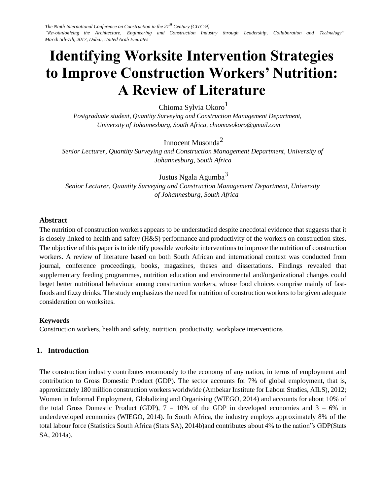# **Identifying Worksite Intervention Strategies to Improve Construction Workers' Nutrition: A Review of Literature**

Chioma Sylvia Okoro<sup>1</sup>

*Postgraduate student, Quantity Surveying and Construction Management Department, University of Johannesburg, South Africa, chiomasokoro@gmail.com* 

# Innocent Musonda<sup>2</sup>

*Senior Lecturer, Quantity Surveying and Construction Management Department, University of Johannesburg, South Africa* 

Justus Ngala Agumba<sup>3</sup> *Senior Lecturer, Quantity Surveying and Construction Management Department, University of Johannesburg, South Africa* 

## **Abstract**

The nutrition of construction workers appears to be understudied despite anecdotal evidence that suggests that it is closely linked to health and safety (H&S) performance and productivity of the workers on construction sites. The objective of this paper is to identify possible worksite interventions to improve the nutrition of construction workers. A review of literature based on both South African and international context was conducted from journal, conference proceedings, books, magazines, theses and dissertations. Findings revealed that supplementary feeding programmes, nutrition education and environmental and/organizational changes could beget better nutritional behaviour among construction workers, whose food choices comprise mainly of fastfoods and fizzy drinks. The study emphasizes the need for nutrition of construction workers to be given adequate consideration on worksites.

#### **Keywords**

Construction workers, health and safety, nutrition, productivity, workplace interventions

# **1. Introduction**

The construction industry contributes enormously to the economy of any nation, in terms of employment and contribution to Gross Domestic Product (GDP). The sector accounts for 7% of global employment, that is, approximately 180 million construction workers worldwide (Ambekar Institute for Labour Studies, AILS), 2012; Women in Informal Employment, Globalizing and Organising (WIEGO, 2014) and accounts for about 10% of the total Gross Domestic Product (GDP),  $7 - 10\%$  of the GDP in developed economies and  $3 - 6\%$  in underdeveloped economies (WIEGO, 2014). In South Africa, the industry employs approximately 8% of the total labour force (Statistics South Africa (Stats SA), 2014b)and contributes about 4% to the nation"s GDP(Stats SA, 2014a).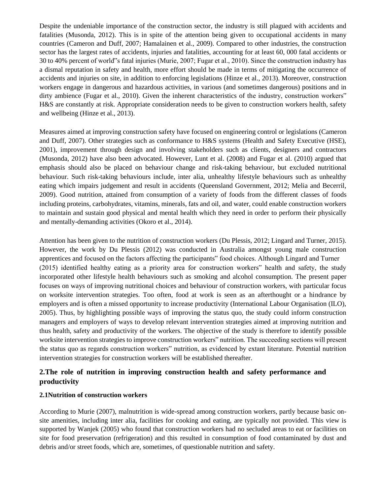Despite the undeniable importance of the construction sector, the industry is still plagued with accidents and fatalities (Musonda, 2012). This is in spite of the attention being given to occupational accidents in many countries (Cameron and Duff, 2007; Hamalainen et al., 2009). Compared to other industries, the construction sector has the largest rates of accidents, injuries and fatalities, accounting for at least 60, 000 fatal accidents or 30 to 40% percent of world"s fatal injuries (Murie, 2007; Fugar et al., 2010). Since the construction industry has a dismal reputation in safety and health, more effort should be made in terms of mitigating the occurrence of accidents and injuries on site, in addition to enforcing legislations (Hinze et al., 2013). Moreover, construction workers engage in dangerous and hazardous activities, in various (and sometimes dangerous) positions and in dirty ambience (Fugar et al., 2010). Given the inherent characteristics of the industry, construction workers" H&S are constantly at risk. Appropriate consideration needs to be given to construction workers health, safety and wellbeing (Hinze et al., 2013).

Measures aimed at improving construction safety have focused on engineering control or legislations (Cameron and Duff, 2007). Other strategies such as conformance to H&S systems (Health and Safety Executive (HSE), 2001), improvement through design and involving stakeholders such as clients, designers and contractors (Musonda, 2012) have also been advocated. However, Lunt et al. (2008) and Fugar et al. (2010) argued that emphasis should also be placed on behaviour change and risk-taking behaviour, but excluded nutritional behaviour. Such risk-taking behaviours include, inter alia, unhealthy lifestyle behaviours such as unhealthy eating which impairs judgement and result in accidents (Queensland Government, 2012; Melia and Becerril, 2009). Good nutrition, attained from consumption of a variety of foods from the different classes of foods including proteins, carbohydrates, vitamins, minerals, fats and oil, and water, could enable construction workers to maintain and sustain good physical and mental health which they need in order to perform their physically and mentally-demanding activities (Okoro et al., 2014).

Attention has been given to the nutrition of construction workers (Du Plessis, 2012; Lingard and Turner, 2015). However, the work by Du Plessis (2012) was conducted in Australia amongst young male construction apprentices and focused on the factors affecting the participants" food choices. Although Lingard and Turner (2015) identified healthy eating as a priority area for construction workers" health and safety, the study incorporated other lifestyle health behaviours such as smoking and alcohol consumption. The present paper focuses on ways of improving nutritional choices and behaviour of construction workers, with particular focus on worksite intervention strategies. Too often, food at work is seen as an afterthought or a hindrance by employers and is often a missed opportunity to increase productivity (International Labour Organisation (ILO), 2005). Thus, by highlighting possible ways of improving the status quo, the study could inform construction managers and employers of ways to develop relevant intervention strategies aimed at improving nutrition and thus health, safety and productivity of the workers. The objective of the study is therefore to identify possible worksite intervention strategies to improve construction workers" nutrition. The succeeding sections will present the status quo as regards construction workers" nutrition, as evidenced by extant literature. Potential nutrition intervention strategies for construction workers will be established thereafter.

# **2.The role of nutrition in improving construction health and safety performance and productivity**

#### **2.1Nutrition of construction workers**

According to Murie (2007), malnutrition is wide-spread among construction workers, partly because basic onsite amenities, including inter alia, facilities for cooking and eating, are typically not provided. This view is supported by Wanjek (2005) who found that construction workers had no secluded areas to eat or facilities on site for food preservation (refrigeration) and this resulted in consumption of food contaminated by dust and debris and/or street foods, which are, sometimes, of questionable nutrition and safety.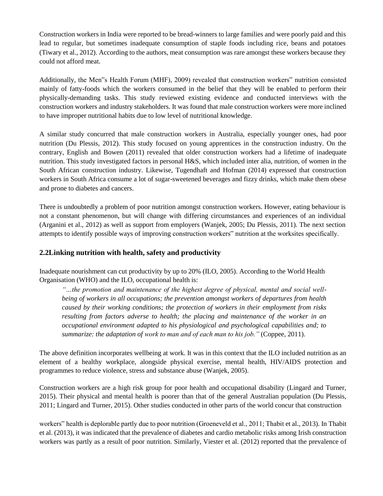Construction workers in India were reported to be bread-winners to large families and were poorly paid and this lead to regular, but sometimes inadequate consumption of staple foods including rice, beans and potatoes (Tiwary et al., 2012). According to the authors, meat consumption was rare amongst these workers because they could not afford meat.

Additionally, the Men"s Health Forum (MHF), 2009) revealed that construction workers" nutrition consisted mainly of fatty-foods which the workers consumed in the belief that they will be enabled to perform their physically-demanding tasks. This study reviewed existing evidence and conducted interviews with the construction workers and industry stakeholders. It was found that male construction workers were more inclined to have improper nutritional habits due to low level of nutritional knowledge.

A similar study concurred that male construction workers in Australia, especially younger ones, had poor nutrition (Du Plessis, 2012). This study focused on young apprentices in the construction industry. On the contrary, English and Bowen (2011) revealed that older construction workers had a lifetime of inadequate nutrition. This study investigated factors in personal H&S, which included inter alia, nutrition, of women in the South African construction industry. Likewise, Tugendhaft and Hofman (2014) expressed that construction workers in South Africa consume a lot of sugar-sweetened beverages and fizzy drinks, which make them obese and prone to diabetes and cancers.

There is undoubtedly a problem of poor nutrition amongst construction workers. However, eating behaviour is not a constant phenomenon, but will change with differing circumstances and experiences of an individual (Arganini et al., 2012) as well as support from employers (Wanjek, 2005; Du Plessis, 2011). The next section attempts to identify possible ways of improving construction workers" nutrition at the worksites specifically.

#### **2.2Linking nutrition with health, safety and productivity**

Inadequate nourishment can cut productivity by up to 20% (ILO, 2005). According to the World Health Organisation (WHO) and the ILO, occupational health is:

*"…the promotion and maintenance of the highest degree of physical, mental and social wellbeing of workers in all occupations; the prevention amongst workers of departures from health caused by their working conditions; the protection of workers in their employment from risks resulting from factors adverse to health; the placing and maintenance of the worker in an occupational environment adapted to his physiological and psychological capabilities and; to summarize: the adaptation of work to man and of each man to his job."* (Coppee, 2011).

The above definition incorporates wellbeing at work. It was in this context that the ILO included nutrition as an element of a healthy workplace, alongside physical exercise, mental health, HIV/AIDS protection and programmes to reduce violence, stress and substance abuse (Wanjek, 2005).

Construction workers are a high risk group for poor health and occupational disability (Lingard and Turner, 2015). Their physical and mental health is poorer than that of the general Australian population (Du Plessis, 2011; Lingard and Turner, 2015). Other studies conducted in other parts of the world concur that construction

workers" health is deplorable partly due to poor nutrition (Groeneveld et al., 2011; Thabit et al., 2013). In Thabit et al. (2013), it was indicated that the prevalence of diabetes and cardio metabolic risks among Irish construction workers was partly as a result of poor nutrition. Similarly, Viester et al. (2012) reported that the prevalence of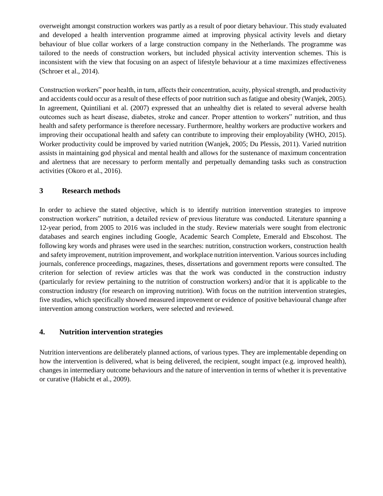overweight amongst construction workers was partly as a result of poor dietary behaviour. This study evaluated and developed a health intervention programme aimed at improving physical activity levels and dietary behaviour of blue collar workers of a large construction company in the Netherlands. The programme was tailored to the needs of construction workers, but included physical activity intervention schemes. This is inconsistent with the view that focusing on an aspect of lifestyle behaviour at a time maximizes effectiveness (Schroer et al., 2014).

Construction workers" poor health, in turn, affects their concentration, acuity, physical strength, and productivity and accidents could occur as a result of these effects of poor nutrition such as fatigue and obesity (Wanjek, 2005). In agreement, Quintiliani et al. (2007) expressed that an unhealthy diet is related to several adverse health outcomes such as heart disease, diabetes, stroke and cancer. Proper attention to workers" nutrition, and thus health and safety performance is therefore necessary. Furthermore, healthy workers are productive workers and improving their occupational health and safety can contribute to improving their employability (WHO, 2015). Worker productivity could be improved by varied nutrition (Wanjek, 2005; Du Plessis, 2011). Varied nutrition assists in maintaining god physical and mental health and allows for the sustenance of maximum concentration and alertness that are necessary to perform mentally and perpetually demanding tasks such as construction activities (Okoro et al., 2016).

## **3 Research methods**

In order to achieve the stated objective, which is to identify nutrition intervention strategies to improve construction workers" nutrition, a detailed review of previous literature was conducted. Literature spanning a 12-year period, from 2005 to 2016 was included in the study. Review materials were sought from electronic databases and search engines including Google, Academic Search Complete, Emerald and Ebscohost. The following key words and phrases were used in the searches: nutrition, construction workers, construction health and safety improvement, nutrition improvement, and workplace nutrition intervention. Various sources including journals, conference proceedings, magazines, theses, dissertations and government reports were consulted. The criterion for selection of review articles was that the work was conducted in the construction industry (particularly for review pertaining to the nutrition of construction workers) and/or that it is applicable to the construction industry (for research on improving nutrition). With focus on the nutrition intervention strategies, five studies, which specifically showed measured improvement or evidence of positive behavioural change after intervention among construction workers, were selected and reviewed.

# **4. Nutrition intervention strategies**

Nutrition interventions are deliberately planned actions, of various types. They are implementable depending on how the intervention is delivered, what is being delivered, the recipient, sought impact (e.g. improved health), changes in intermediary outcome behaviours and the nature of intervention in terms of whether it is preventative or curative (Habicht et al., 2009).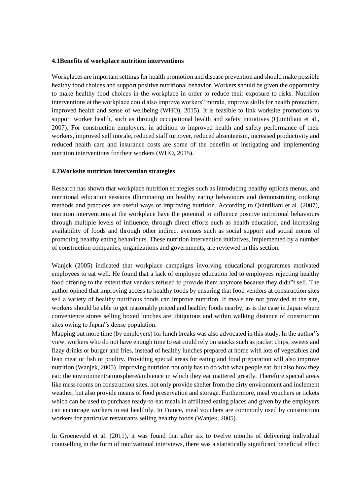#### **4.1Benefits of workplace nutrition interventions**

Workplaces are important settings for health promotion and disease prevention and should make possible healthy food choices and support positive nutritional behavior. Workers should be given the opportunity to make healthy food choices in the workplace in order to reduce their exposure to risks. Nutrition interventions at the workplace could also improve workers" morale, improve skills for health protection, improved health and sense of wellbeing (WHO), 2015). It is feasible to link worksite promotions to support worker health, such as through occupational health and safety initiatives (Quintiliani et al., 2007). For construction employers, in addition to improved health and safety performance of their workers, improved self morale, reduced staff turnover, reduced absenteeism, increased productivity and reduced health care and insurance costs are some of the benefits of instigating and implementing nutrition interventions for their workers (WHO, 2015).

#### **4.2Worksite nutrition intervention strategies**

Research has shown that workplace nutrition strategies such as introducing healthy options menus, and nutritional education sessions illuminating on healthy eating behaviours and demonstrating cooking methods and practices are useful ways of improving nutrition. According to Quintiliani et al. (2007), nutrition interventions at the workplace have the potential to influence positive nutritional behaviours through multiple levels of influence, through direct efforts such as health education, and increasing availability of foods and through other indirect avenues such as social support and social norms of promoting healthy eating behaviours. These nutrition intervention initiatives, implemented by a number of construction companies, organizations and governments, are reviewed in this section.

Wanjek (2005) indicated that workplace campaigns involving educational programmes motivated employees to eat well. He found that a lack of employee education led to employees rejecting healthy food offering to the extent that vendors refused to provide them anymore because they didn"t sell. The author opined that improving access to healthy foods by ensuring that food vendors at construction sites sell a variety of healthy nutritious foods can improve nutrition. If meals are not provided at the site, workers should be able to get reasonably priced and healthy foods nearby, as is the case in Japan where convenience stores selling boxed lunches are ubiquitous and within walking distance of construction sites owing to Japan"s dense population.

Mapping out more time (by employers) for lunch breaks was also advocated in this study. In the author"s view, workers who do not have enough time to eat could rely on snacks such as packet chips, sweets and fizzy drinks or burger and fries, instead of healthy lunches prepared at home with lots of vegetables and lean meat or fish or poultry. Providing special areas for eating and food preparation will also improve nutrition (Wanjek, 2005). Improving nutrition not only has to do with what people eat, but also how they eat; the environment/atmosphere/ambience in which they eat mattered greatly. Therefore special areas like mess rooms on construction sites, not only provide shelter from the dirty environment and inclement weather, but also provide means of food preservation and storage. Furthermore, meal vouchers or tickets which can be used to purchase ready-to-eat meals in affiliated eating places and given by the employers can encourage workers to eat healthily. In France, meal vouchers are commonly used by construction workers for particular restaurants selling healthy foods (Wanjek, 2005).

In Groeneveld et al. (2011), it was found that after six to twelve months of delivering individual counselling in the form of motivational interviews, there was a statistically significant beneficial effect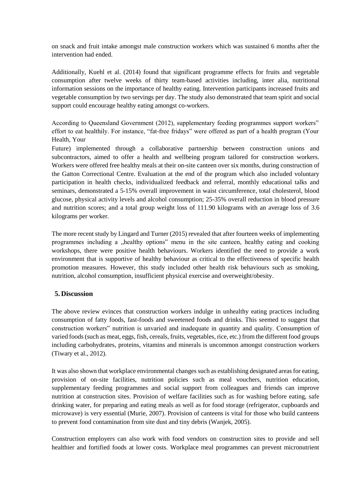on snack and fruit intake amongst male construction workers which was sustained 6 months after the intervention had ended.

Additionally, Kuehl et al. (2014) found that significant programme effects for fruits and vegetable consumption after twelve weeks of thirty team-based activities including, inter alia, nutritional information sessions on the importance of healthy eating. Intervention participants increased fruits and vegetable consumption by two servings per day. The study also demonstrated that team spirit and social support could encourage healthy eating amongst co-workers.

According to Queensland Government (2012), supplementary feeding programmes support workers" effort to eat healthily. For instance, "fat-free fridays" were offered as part of a health program (Your Health, Your

Future) implemented through a collaborative partnership between construction unions and subcontractors, aimed to offer a health and wellbeing program tailored for construction workers. Workers were offered free healthy meals at their on-site canteen over six months, during construction of the Gatton Correctional Centre. Evaluation at the end of the program which also included voluntary participation in health checks, individualized feedback and referral, monthly educational talks and seminars, demonstrated a 5-15% overall improvement in waist circumference, total cholesterol, blood glucose, physical activity levels and alcohol consumption; 25-35% overall reduction in blood pressure and nutrition scores; and a total group weight loss of 111.90 kilograms with an average loss of 3.6 kilograms per worker.

The more recent study by Lingard and Turner (2015) revealed that after fourteen weeks of implementing programmes including a "healthy options" menu in the site canteen, healthy eating and cooking workshops, there were positive health behaviours. Workers identified the need to provide a work environment that is supportive of healthy behaviour as critical to the effectiveness of specific health promotion measures. However, this study included other health risk behaviours such as smoking, nutrition, alcohol consumption, insufficient physical exercise and overweight/obesity.

#### **5. Discussion**

The above review evinces that construction workers indulge in unhealthy eating practices including consumption of fatty foods, fast-foods and sweetened foods and drinks. This seemed to suggest that construction workers" nutrition is unvaried and inadequate in quantity and quality. Consumption of varied foods (such as meat, eggs, fish, cereals, fruits, vegetables, rice, etc.) from the different food groups including carbohydrates, proteins, vitamins and minerals is uncommon amongst construction workers (Tiwary et al., 2012).

It was also shown that workplace environmental changes such as establishing designated areas for eating, provision of on-site facilities, nutrition policies such as meal vouchers, nutrition education, supplementary feeding programmes and social support from colleagues and friends can improve nutrition at construction sites. Provision of welfare facilities such as for washing before eating, safe drinking water, for preparing and eating meals as well as for food storage (refrigerator, cupboards and microwave) is very essential (Murie, 2007). Provision of canteens is vital for those who build canteens to prevent food contamination from site dust and tiny debris (Wanjek, 2005).

Construction employers can also work with food vendors on construction sites to provide and sell healthier and fortified foods at lower costs. Workplace meal programmes can prevent micronutrient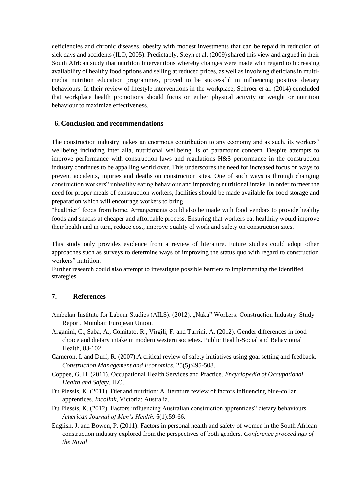deficiencies and chronic diseases, obesity with modest investments that can be repaid in reduction of sick days and accidents (ILO, 2005). Predictably, Steyn et al. (2009) shared this view and argued in their South African study that nutrition interventions whereby changes were made with regard to increasing availability of healthy food options and selling at reduced prices, as well as involving dieticians in multimedia nutrition education programmes, proved to be successful in influencing positive dietary behaviours. In their review of lifestyle interventions in the workplace, Schroer et al. (2014) concluded that workplace health promotions should focus on either physical activity or weight or nutrition behaviour to maximize effectiveness.

### **6. Conclusion and recommendations**

The construction industry makes an enormous contribution to any economy and as such, its workers" wellbeing including inter alia, nutritional wellbeing, is of paramount concern. Despite attempts to improve performance with construction laws and regulations H&S performance in the construction industry continues to be appalling world over. This underscores the need for increased focus on ways to prevent accidents, injuries and deaths on construction sites. One of such ways is through changing construction workers" unhealthy eating behaviour and improving nutritional intake. In order to meet the need for proper meals of construction workers, facilities should be made available for food storage and preparation which will encourage workers to bring

"healthier" foods from home. Arrangements could also be made with food vendors to provide healthy foods and snacks at cheaper and affordable process. Ensuring that workers eat healthily would improve their health and in turn, reduce cost, improve quality of work and safety on construction sites.

This study only provides evidence from a review of literature. Future studies could adopt other approaches such as surveys to determine ways of improving the status quo with regard to construction workers" nutrition.

Further research could also attempt to investigate possible barriers to implementing the identified strategies.

# **7. References**

- Ambekar Institute for Labour Studies (AILS). (2012). "Naka" Workers: Construction Industry. Study Report. Mumbai: European Union.
- Arganini, C., Saba, A., Comitato, R., Virgili, F. and Turrini, A. (2012). Gender differences in food choice and dietary intake in modern western societies. Public Health-Social and Behavioural Health, 83-102.
- Cameron, I. and Duff, R. (2007).A critical review of safety initiatives using goal setting and feedback. *Construction Management and Economics,* 25(5):495-508.
- Coppee, G. H. (2011). Occupational Health Services and Practice. *Encyclopedia of Occupational Health and Safety.* ILO.
- Du Plessis, K. (2011). Diet and nutrition: A literature review of factors influencing blue-collar apprentices. *Incolink*, Victoria: Australia.
- Du Plessis, K. (2012). Factors influencing Australian construction apprentices" dietary behaviours. *American Journal of Men's Health,* 6(1):59-66.
- English, J. and Bowen, P. (2011). Factors in personal health and safety of women in the South African construction industry explored from the perspectives of both genders. *Conference proceedings of the Royal*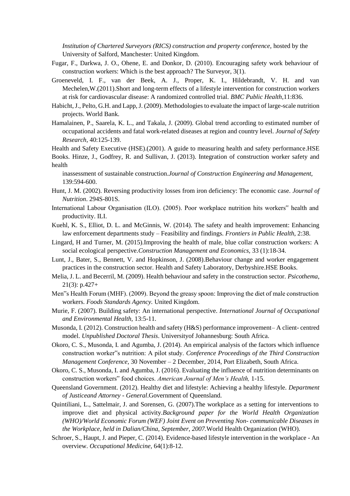*Institution of Chartered Surveyors (RICS) construction and property conference, hosted by the* University of Salford, Manchester: United Kingdom.

- Fugar, F., Darkwa, J. O., Ohene, E. and Donkor, D. (2010). Encouraging safety work behaviour of construction workers: Which is the best approach? The Surveyor, 3(1).
- Groeneveld, I. F., van der Beek, A. J., Proper, K. I., Hildebrandt, V. H. and van Mechelen,W.(2011).Short and long-term effects of a lifestyle intervention for construction workers at risk for cardiovascular disease: A randomized controlled trial. *BMC Public Health*,11:836.
- Habicht, J., Pelto, G.H. and Lapp, J. (2009). Methodologies to evaluate the impact of large-scale nutrition projects. World Bank.
- Hamalainen, P., Saarela, K. L., and Takala, J. (2009). Global trend according to estimated number of occupational accidents and fatal work-related diseases at region and country level. *Journal of Safety Research*, 40:125-139.

Health and Safety Executive (HSE).(2001). A guide to measuring health and safety performance.HSE Books. Hinze, J., Godfrey, R. and Sullivan, J. (2013). Integration of construction worker safety and health

inassessment of sustainable construction.*Journal of Construction Engineering and Management,* 139:594-600.

- Hunt, J. M. (2002). Reversing productivity losses from iron deficiency: The economic case. *Journal of Nutrition*. 294S-801S.
- International Labour Organisation (ILO). (2005). Poor workplace nutrition hits workers" health and productivity. ILI.
- Kuehl, K. S., Elliot, D. L. and McGinnis, W. (2014). The safety and health improvement: Enhancing law enforcement departments study – Feasibility and findings. *Frontiers in Public Health*, 2:38.
- Lingard, H and Turner, M. (2015).Improving the health of male, blue collar construction workers: A social ecological perspective.*Construction Management and Economics,* 33 (1):18-34.
- Lunt, J., Bater, S., Bennett, V. and Hopkinson, J. (2008).Behaviour change and worker engagement practices in the construction sector. Health and Safety Laboratory, Derbyshire.HSE Books.
- Melia, J. L. and Becerril, M. (2009). Health behaviour and safety in the construction sector. *Psicothema*, 21(3): p.427+
- Men"s Health Forum (MHF). (2009). Beyond the greasy spoon: Improving the diet of male construction workers. *Foods Standards Agency.* United Kingdom.
- Murie, F. (2007). Building safety: An international perspective. *International Journal of Occupational and Environmental Health,* 13:5-11.
- Musonda, I. (2012). Construction health and safety (H&S) performance improvement– A client- centred model. *Unpublished Doctoral Thesis*. Universityof Johannesburg: South Africa.
- Okoro, C. S., Musonda, I. and Agumba, J. (2014). An empirical analysis of the factors which influence construction worker"s nutrition: A pilot study. *Conference Proceedings of the Third Construction Management Conference,* 30 November – 2 December, 2014, Port Elizabeth, South Africa.
- Okoro, C. S., Musonda, I. and Agumba, J. (2016). Evaluating the influence of nutrition determinants on construction workers" food choices. *American Journal of Men's Health,* 1-15.
- Queensland Government. (2012). Healthy diet and lifestyle: Achieving a healthy lifestyle. *Department of Justiceand Attorney - General*.Government of Queensland.
- Quintiliani, L., Sattelmair, J. and Sorensen, G. (2007).The workplace as a setting for interventions to improve diet and physical activity.*Background paper for the World Health Organization (WHO)/World Economic Forum (WEF) Joint Event on Preventing Non- communicable Diseases in the Workplace, held in Dalian/China, September, 2007.*World Health Organization (WHO).
- Schroer, S., Haupt, J. and Pieper, C. (2014). Evidence-based lifestyle intervention in the workplace An overview. *Occupational Medicine,* 64(1):8-12.